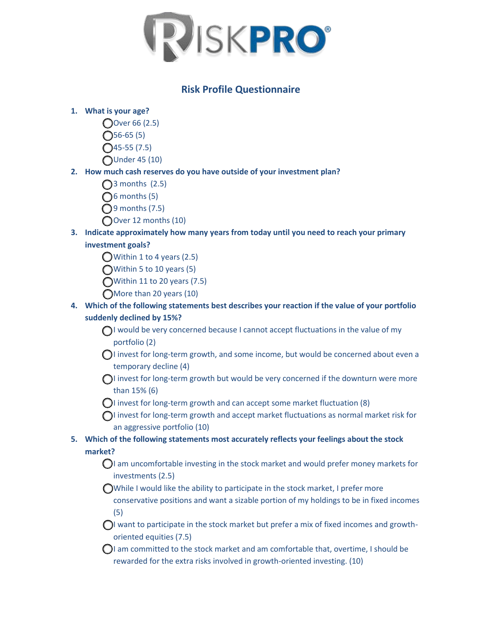

## **Risk Profile Questionnaire**

#### **1. What is your age?**

- Over 66 (2.5)
- $\bigcap$ 56-65 (5)
- $\bigcap$ 45-55 (7.5)
- Under 45 (10)

### **2. How much cash reserves do you have outside of your investment plan?**

- $\bigcap$ 3 months (2.5)
- $\bigcap$ 6 months (5)
- $\bigcirc$ 9 months (7.5)
- Over 12 months (10)

# **3. Indicate approximately how many years from today until you need to reach your primary**

### **investment goals?**

- $\bigcirc$  Within 1 to 4 years (2.5)
- Within 5 to 10 years (5)
- Within 11 to 20 years (7.5)
- More than 20 years (10)

### **4. Which of the following statements best describes your reaction if the value of your portfolio suddenly declined by 15%?**

- $\bigcap$ I would be very concerned because I cannot accept fluctuations in the value of my portfolio (2)
- $\bigcap$  invest for long-term growth, and some income, but would be concerned about even a temporary decline (4)
- $\bigcap$  invest for long-term growth but would be very concerned if the downturn were more than 15% (6)
- $\bigcirc$ I invest for long-term growth and can accept some market fluctuation (8)
- $\bigcap$  invest for long-term growth and accept market fluctuations as normal market risk for an aggressive portfolio (10)

## **5. Which of the following statements most accurately reflects your feelings about the stock market?**

- $\bigcirc$ I am uncomfortable investing in the stock market and would prefer money markets for investments (2.5)
- While I would like the ability to participate in the stock market, I prefer more conservative positions and want a sizable portion of my holdings to be in fixed incomes (5)
- $\bigcap$  want to participate in the stock market but prefer a mix of fixed incomes and growthoriented equities (7.5)
- $\bigcirc$ I am committed to the stock market and am comfortable that, overtime, I should be rewarded for the extra risks involved in growth-oriented investing. (10)